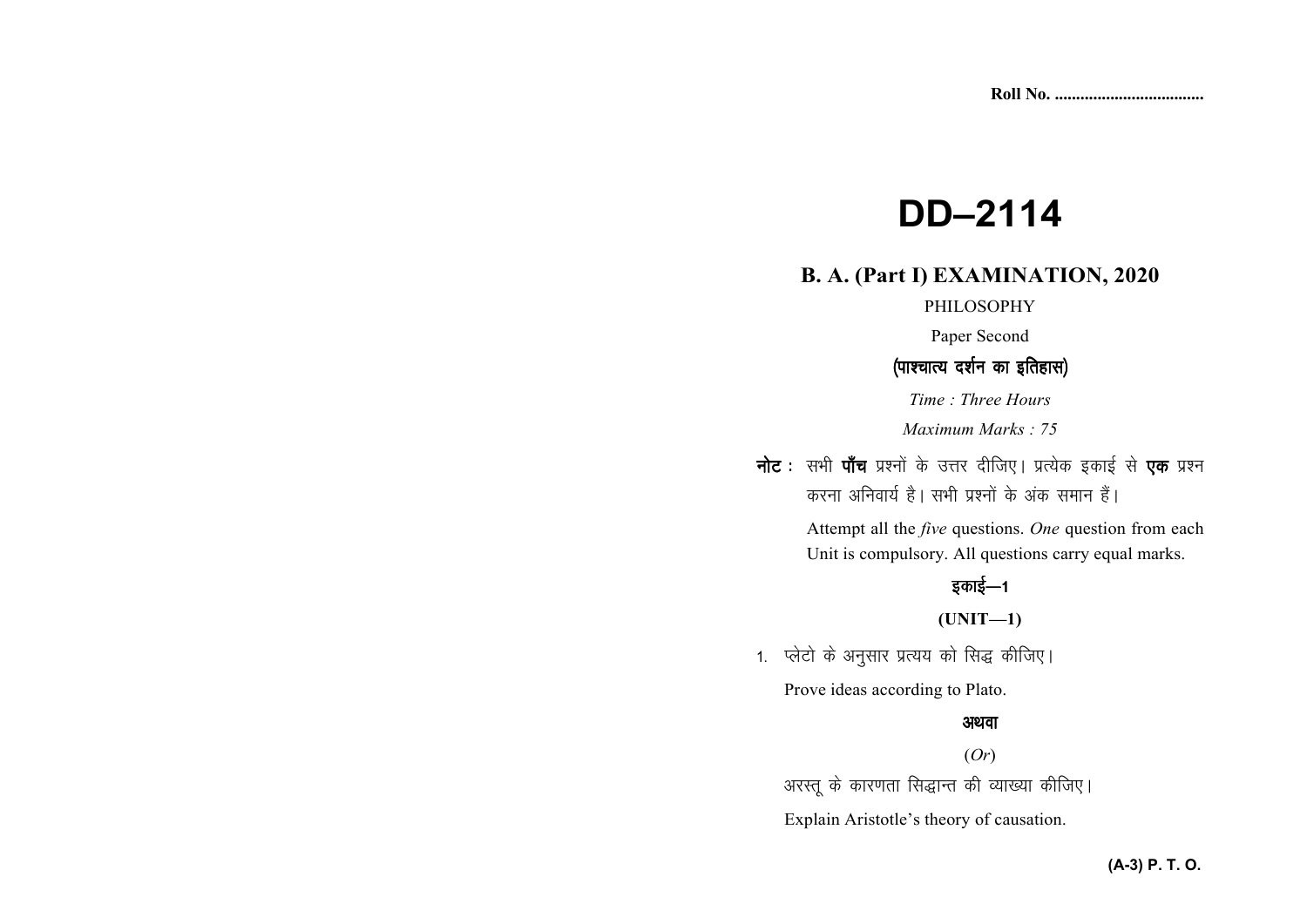# **DD–2114**

# **B. A. (Part I) EXAMINATION, 2020**

#### PHILOSOPHY

Paper Second

## (पाश्चात्य दर्शन का इतिहास)

*Time : Three Hours* 

*Maximum Marks : 75* 

नोट : सभी पाँच प्रश्नों के उत्तर दीजिए। प्रत्येक इकाई से एक प्रश्न करना अनिवार्य है। सभी प्रश्नों के अंक समान हैं।

> Attempt all the *five* questions. *One* question from each Unit is compulsory. All questions carry equal marks.

# इकाई—1

**(UNIT—1)** 

1. प्लेटो के अनुसार प्रत्यय को सिद्ध कीजिए।

Prove ideas according to Plato.

#### अथवा

(*Or*)

अरस्तू के कारणता सिद्धान्त की व्याख्या कीजिए।

Explain Aristotle's theory of causation.

### **(A-3) P. T. O.**